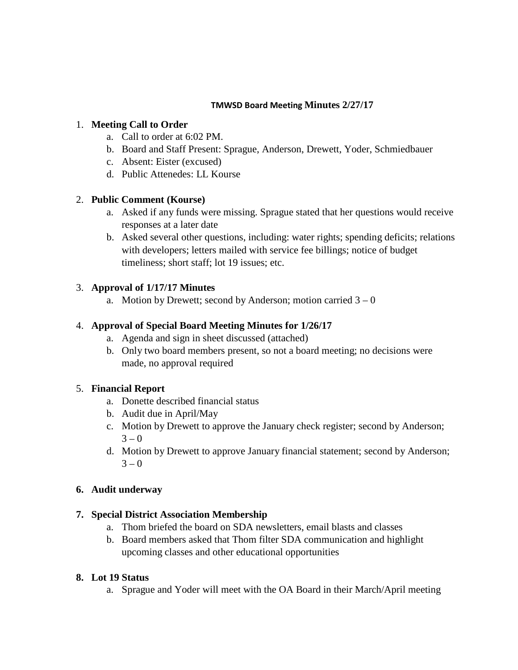#### **TMWSD Board Meeting Minutes 2/27/17**

#### 1. **Meeting Call to Order**

- a. Call to order at 6:02 PM.
- b. Board and Staff Present: Sprague, Anderson, Drewett, Yoder, Schmiedbauer
- c. Absent: Eister (excused)
- d. Public Attenedes: LL Kourse

### 2. **Public Comment (Kourse)**

- a. Asked if any funds were missing. Sprague stated that her questions would receive responses at a later date
- b. Asked several other questions, including: water rights; spending deficits; relations with developers; letters mailed with service fee billings; notice of budget timeliness; short staff; lot 19 issues; etc.

## 3. **Approval of 1/17/17 Minutes**

a. Motion by Drewett; second by Anderson; motion carried  $3 - 0$ 

## 4. **Approval of Special Board Meeting Minutes for 1/26/17**

- a. Agenda and sign in sheet discussed (attached)
- b. Only two board members present, so not a board meeting; no decisions were made, no approval required

# 5. **Financial Report**

- a. Donette described financial status
- b. Audit due in April/May
- c. Motion by Drewett to approve the January check register; second by Anderson;  $3 - 0$
- d. Motion by Drewett to approve January financial statement; second by Anderson;  $3 - 0$

### **6. Audit underway**

### **7. Special District Association Membership**

- a. Thom briefed the board on SDA newsletters, email blasts and classes
- b. Board members asked that Thom filter SDA communication and highlight upcoming classes and other educational opportunities

### **8. Lot 19 Status**

a. Sprague and Yoder will meet with the OA Board in their March/April meeting